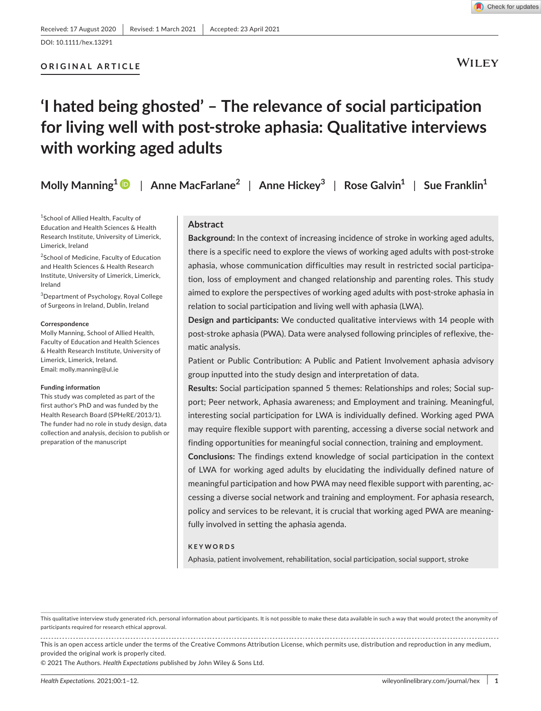### **ORIGINAL ARTICLE**

**WILEY** 

# **'I hated being ghosted' – The relevance of social participation for living well with post-stroke aphasia: Qualitative interviews with working aged adults**

**Molly Manning1** | **Anne MacFarlane<sup>2</sup>** | **Anne Hickey<sup>3</sup>** | **Rose Galvin1** | **Sue Franklin1**

1 School of Allied Health, Faculty of Education and Health Sciences & Health Research Institute, University of Limerick, Limerick, Ireland

<sup>2</sup>School of Medicine, Faculty of Education and Health Sciences & Health Research Institute, University of Limerick, Limerick, Ireland

3 Department of Psychology, Royal College of Surgeons in Ireland, Dublin, Ireland

#### **Correspondence**

Molly Manning, School of Allied Health, Faculty of Education and Health Sciences & Health Research Institute, University of Limerick, Limerick, Ireland. Email: [molly.manning@ul.ie](mailto:molly.manning@ul.ie)

#### **Funding information**

This study was completed as part of the first author's PhD and was funded by the Health Research Board (SPHeRE/2013/1). The funder had no role in study design, data collection and analysis, decision to publish or preparation of the manuscript

### **Abstract**

**Background:** In the context of increasing incidence of stroke in working aged adults, there is a specific need to explore the views of working aged adults with post-stroke aphasia, whose communication difficulties may result in restricted social participation, loss of employment and changed relationship and parenting roles. This study aimed to explore the perspectives of working aged adults with post-stroke aphasia in relation to social participation and living well with aphasia (LWA).

**Design and participants:** We conducted qualitative interviews with 14 people with post-stroke aphasia (PWA). Data were analysed following principles of reflexive, thematic analysis.

Patient or Public Contribution: A Public and Patient Involvement aphasia advisory group inputted into the study design and interpretation of data.

**Results:** Social participation spanned 5 themes: Relationships and roles; Social support; Peer network, Aphasia awareness; and Employment and training. Meaningful, interesting social participation for LWA is individually defined. Working aged PWA may require flexible support with parenting, accessing a diverse social network and finding opportunities for meaningful social connection, training and employment.

**Conclusions:** The findings extend knowledge of social participation in the context of LWA for working aged adults by elucidating the individually defined nature of meaningful participation and how PWA may need flexible support with parenting, accessing a diverse social network and training and employment. For aphasia research, policy and services to be relevant, it is crucial that working aged PWA are meaningfully involved in setting the aphasia agenda.

#### **KEYWORDS**

Aphasia, patient involvement, rehabilitation, social participation, social support, stroke

This qualitative interview study generated rich, personal information about participants. It is not possible to make these data available in such a way that would protect the anonymity of participants required for research ethical approval.

This is an open access article under the terms of the [Creative Commons Attribution](http://creativecommons.org/licenses/by/4.0/) License, which permits use, distribution and reproduction in any medium, provided the original work is properly cited.

© 2021 The Authors. *Health Expectations* published by John Wiley & Sons Ltd.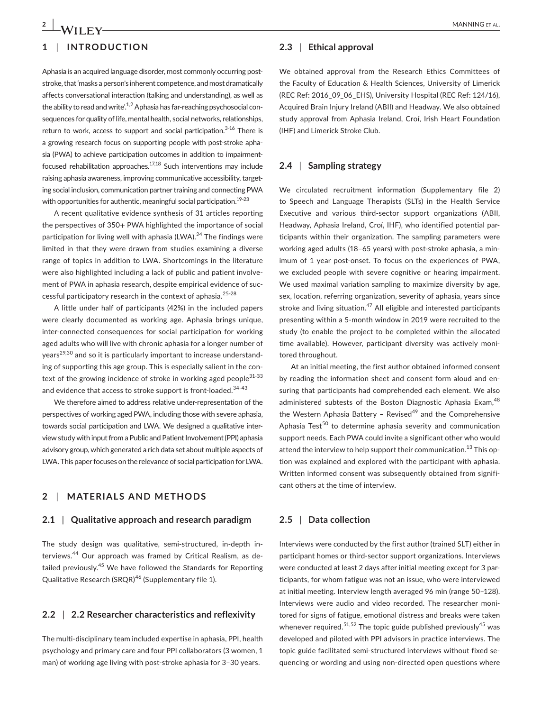# **1** | **INTRODUCTION**

Aphasia is an acquired language disorder, most commonly occurring poststroke, that 'masks a person's inherent competence, and most dramatically affects conversational interaction (talking and understanding), as well as the ability to read and write'.<sup>1,2</sup> Aphasia has far-reaching psychosocial consequences for quality of life, mental health, social networks, relationships, return to work, access to support and social participation. $3-16$  There is a growing research focus on supporting people with post-stroke aphasia (PWA) to achieve participation outcomes in addition to impairmentfocused rehabilitation approaches.17,18 Such interventions may include raising aphasia awareness, improving communicative accessibility, targeting social inclusion, communication partner training and connecting PWA with opportunities for authentic, meaningful social participation.<sup>19-23</sup>

A recent qualitative evidence synthesis of 31 articles reporting the perspectives of 350+ PWA highlighted the importance of social participation for living well with aphasia (LWA). $24$  The findings were limited in that they were drawn from studies examining a diverse range of topics in addition to LWA. Shortcomings in the literature were also highlighted including a lack of public and patient involvement of PWA in aphasia research, despite empirical evidence of successful participatory research in the context of aphasia. $25-28$ 

A little under half of participants (42%) in the included papers were clearly documented as working age. Aphasia brings unique, inter-connected consequences for social participation for working aged adults who will live with chronic aphasia for a longer number of years<sup>29,30</sup> and so it is particularly important to increase understanding of supporting this age group. This is especially salient in the context of the growing incidence of stroke in working aged people<sup>31-33</sup> and evidence that access to stroke support is front-loaded.<sup>34-43</sup>

We therefore aimed to address relative under-representation of the perspectives of working aged PWA, including those with severe aphasia, towards social participation and LWA. We designed a qualitative interview study with input from a Public and Patient Involvement (PPI) aphasia advisory group, which generated a rich data set about multiple aspects of LWA. This paper focuses on the relevance of social participation for LWA.

## **2** | **MATERIALS AND METHODS**

### **2.1** | **Qualitative approach and research paradigm**

The study design was qualitative, semi-structured, in-depth interviews.44 Our approach was framed by Critical Realism, as detailed previously.<sup>45</sup> We have followed the Standards for Reporting Qualitative Research (SRQR)<sup>46</sup> (Supplementary file 1).

### **2.2** | **2.2 Researcher characteristics and reflexivity**

The multi-disciplinary team included expertise in aphasia, PPI, health psychology and primary care and four PPI collaborators (3 women, 1 man) of working age living with post-stroke aphasia for 3–30 years.

### **2.3** | **Ethical approval**

We obtained approval from the Research Ethics Committees of the Faculty of Education & Health Sciences, University of Limerick (REC Ref: 2016\_09\_06\_EHS), University Hospital (REC Ref: 124/16), Acquired Brain Injury Ireland (ABII) and Headway. We also obtained study approval from Aphasia Ireland, Croí, Irish Heart Foundation (IHF) and Limerick Stroke Club.

### **2.4** | **Sampling strategy**

We circulated recruitment information (Supplementary file 2) to Speech and Language Therapists (SLTs) in the Health Service Executive and various third-sector support organizations (ABII, Headway, Aphasia Ireland, Croí, IHF), who identified potential participants within their organization. The sampling parameters were working aged adults (18–65 years) with post-stroke aphasia, a minimum of 1 year post-onset. To focus on the experiences of PWA, we excluded people with severe cognitive or hearing impairment. We used maximal variation sampling to maximize diversity by age, sex, location, referring organization, severity of aphasia, years since stroke and living situation. $47$  All eligible and interested participants presenting within a 5-month window in 2019 were recruited to the study (to enable the project to be completed within the allocated time available). However, participant diversity was actively monitored throughout.

At an initial meeting, the first author obtained informed consent by reading the information sheet and consent form aloud and ensuring that participants had comprehended each element. We also administered subtests of the Boston Diagnostic Aphasia Exam,  $48$ the Western Aphasia Battery - Revised<sup>49</sup> and the Comprehensive Aphasia Test<sup>50</sup> to determine aphasia severity and communication support needs. Each PWA could invite a significant other who would attend the interview to help support their communication.<sup>13</sup> This option was explained and explored with the participant with aphasia. Written informed consent was subsequently obtained from significant others at the time of interview.

### **2.5** | **Data collection**

Interviews were conducted by the first author (trained SLT) either in participant homes or third-sector support organizations. Interviews were conducted at least 2 days after initial meeting except for 3 participants, for whom fatigue was not an issue, who were interviewed at initial meeting. Interview length averaged 96 min (range 50–128). Interviews were audio and video recorded. The researcher monitored for signs of fatigue, emotional distress and breaks were taken whenever required.<sup>51,52</sup> The topic guide published previously<sup>45</sup> was developed and piloted with PPI advisors in practice interviews. The topic guide facilitated semi-structured interviews without fixed sequencing or wording and using non-directed open questions where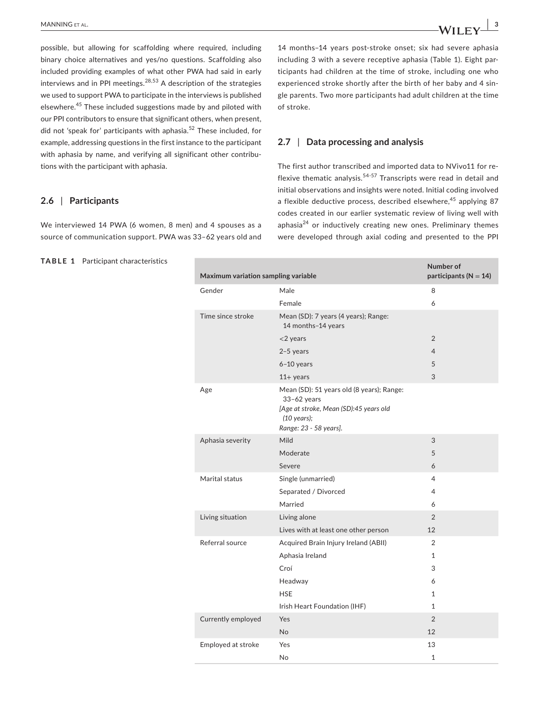possible, but allowing for scaffolding where required, including binary choice alternatives and yes/no questions. Scaffolding also included providing examples of what other PWA had said in early interviews and in PPI meetings.  $28,53$  A description of the strategies we used to support PWA to participate in the interviews is published elsewhere.45 These included suggestions made by and piloted with our PPI contributors to ensure that significant others, when present, did not 'speak for' participants with aphasia.<sup>52</sup> These included, for example, addressing questions in the first instance to the participant with aphasia by name, and verifying all significant other contributions with the participant with aphasia.

### **2.6** | **Participants**

We interviewed 14 PWA (6 women, 8 men) and 4 spouses as a source of communication support. PWA was 33–62 years old and

**TABLE 1** Participant characteristics

14 months–14 years post-stroke onset; six had severe aphasia including 3 with a severe receptive aphasia (Table 1). Eight participants had children at the time of stroke, including one who experienced stroke shortly after the birth of her baby and 4 single parents. Two more participants had adult children at the time of stroke.

### **2.7** | **Data processing and analysis**

The first author transcribed and imported data to NVivo11 for reflexive thematic analysis.54-57 Transcripts were read in detail and initial observations and insights were noted. Initial coding involved a flexible deductive process, described elsewhere,  $45$  applying 87 codes created in our earlier systematic review of living well with aphasia $^{24}$  or inductively creating new ones. Preliminary themes were developed through axial coding and presented to the PPI

| Maximum variation sampling variable |                                                                                                                                                         | Number of<br>participants ( $N = 14$ ) |
|-------------------------------------|---------------------------------------------------------------------------------------------------------------------------------------------------------|----------------------------------------|
| Gender                              | Male                                                                                                                                                    | 8                                      |
|                                     | Female                                                                                                                                                  | 6                                      |
| Time since stroke                   | Mean (SD): 7 years (4 years); Range:<br>14 months-14 years                                                                                              |                                        |
|                                     | $<$ 2 years                                                                                                                                             | $\overline{2}$                         |
|                                     | $2-5$ years                                                                                                                                             | $\overline{4}$                         |
|                                     | $6-10$ years                                                                                                                                            | 5                                      |
|                                     | $11+$ years                                                                                                                                             | 3                                      |
| Age                                 | Mean (SD): 51 years old (8 years); Range:<br>$33-62$ years<br>[Age at stroke, Mean (SD):45 years old<br>$(10 \text{ years});$<br>Range: 23 - 58 years]. |                                        |
| Aphasia severity                    | Mild                                                                                                                                                    | 3                                      |
|                                     | Moderate                                                                                                                                                | 5                                      |
|                                     | Severe                                                                                                                                                  | 6                                      |
| Marital status                      | Single (unmarried)                                                                                                                                      | 4                                      |
|                                     | Separated / Divorced                                                                                                                                    | 4                                      |
|                                     | Married                                                                                                                                                 | 6                                      |
| Living situation                    | Living alone                                                                                                                                            | $\overline{2}$                         |
|                                     | Lives with at least one other person                                                                                                                    | 12                                     |
| Referral source                     | Acquired Brain Injury Ireland (ABII)                                                                                                                    | 2                                      |
|                                     | Aphasia Ireland                                                                                                                                         | $\mathbf{1}$                           |
|                                     | Croí                                                                                                                                                    | 3                                      |
|                                     | Headway                                                                                                                                                 | 6                                      |
|                                     | <b>HSE</b>                                                                                                                                              | 1                                      |
|                                     | Irish Heart Foundation (IHF)                                                                                                                            | 1                                      |
| Currently employed                  | Yes                                                                                                                                                     | $\overline{2}$                         |
|                                     | <b>No</b>                                                                                                                                               | 12                                     |
| Employed at stroke                  | Yes                                                                                                                                                     | 13                                     |
|                                     | <b>No</b>                                                                                                                                               | $\mathbf{1}$                           |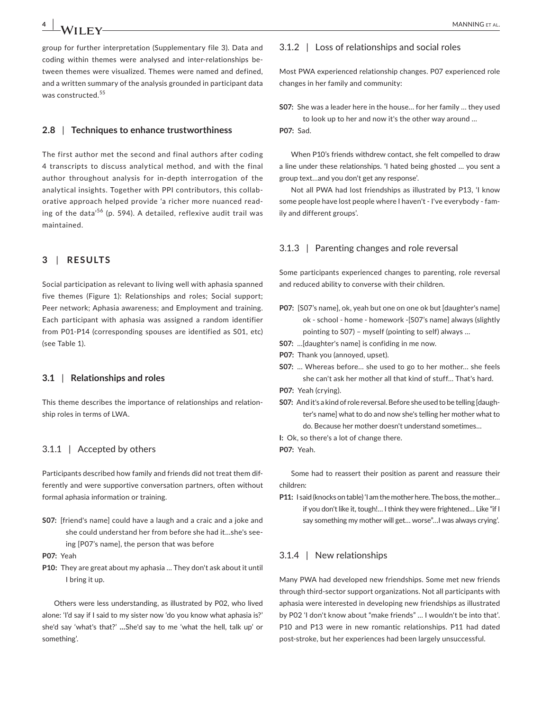group for further interpretation (Supplementary file 3). Data and coding within themes were analysed and inter-relationships between themes were visualized. Themes were named and defined, and a written summary of the analysis grounded in participant data was constructed.<sup>55</sup>

#### **2.8** | **Techniques to enhance trustworthiness**

The first author met the second and final authors after coding 4 transcripts to discuss analytical method, and with the final author throughout analysis for in-depth interrogation of the analytical insights. Together with PPI contributors, this collaborative approach helped provide 'a richer more nuanced reading of the data<sup>'56</sup> (p. 594). A detailed, reflexive audit trail was maintained.

### **3** | **RESULTS**

Social participation as relevant to living well with aphasia spanned five themes (Figure 1): Relationships and roles; Social support; Peer network; Aphasia awareness; and Employment and training. Each participant with aphasia was assigned a random identifier from P01-P14 (corresponding spouses are identified as S01, etc) (see Table 1).

#### **3.1** | **Relationships and roles**

This theme describes the importance of relationships and relationship roles in terms of LWA.

### 3.1.1 | Accepted by others

Participants described how family and friends did not treat them differently and were supportive conversation partners, often without formal aphasia information or training.

- **S07:** [friend's name] could have a laugh and a craic and a joke and she could understand her from before she had it…she's seeing [P07's name], the person that was before
- **P07:** Yeah
- **P10:** They are great about my aphasia … They don't ask about it until I bring it up.

Others were less understanding, as illustrated by P02, who lived alone: 'I'd say if I said to my sister now 'do you know what aphasia is?' she'd say 'what's that?' **…**She'd say to me 'what the hell, talk up' or something'.

### 3.1.2 | Loss of relationships and social roles

Most PWA experienced relationship changes. P07 experienced role changes in her family and community:

**S07:** She was a leader here in the house… for her family … they used to look up to her and now it's the other way around …

**P07:** Sad.

When P10's friends withdrew contact, she felt compelled to draw a line under these relationships. **'**I hated being ghosted … you sent a group text…and you don't get any response'.

Not all PWA had lost friendships as illustrated by P13, 'I know some people have lost people where I haven't - I've everybody - family and different groups'.

#### 3.1.3 | Parenting changes and role reversal

Some participants experienced changes to parenting, role reversal and reduced ability to converse with their children.

- **P07:** [S07's name], ok, yeah but one on one ok but [daughter's name] ok - school - home - homework -[S07's name] always (slightly pointing to S07) – myself (pointing to self) always …
- **S07:** …[daughter's name] is confiding in me now.
- **P07:** Thank you (annoyed, upset).
- **S07:** … Whereas before… she used to go to her mother… she feels she can't ask her mother all that kind of stuff… That's hard.
- **P07:** Yeah (crying).
- **S07:** And it's a kind of role reversal. Before she used to be telling [daughter's name] what to do and now she's telling her mother what to do. Because her mother doesn't understand sometimes…
- **I:** Ok, so there's a lot of change there.
- **P07:** Yeah.

Some had to reassert their position as parent and reassure their children:

**P11:** I said (knocks on table) 'I am the mother here. The boss, the mother… if you don't like it, tough!… I think they were frightened… Like "if I say something my mother will get… worse"…I was always crying'.

### 3.1.4 | New relationships

Many PWA had developed new friendships. Some met new friends through third-sector support organizations. Not all participants with aphasia were interested in developing new friendships as illustrated by P02 'I don't know about "make friends" … I wouldn't be into that'. P10 and P13 were in new romantic relationships. P11 had dated post-stroke, but her experiences had been largely unsuccessful.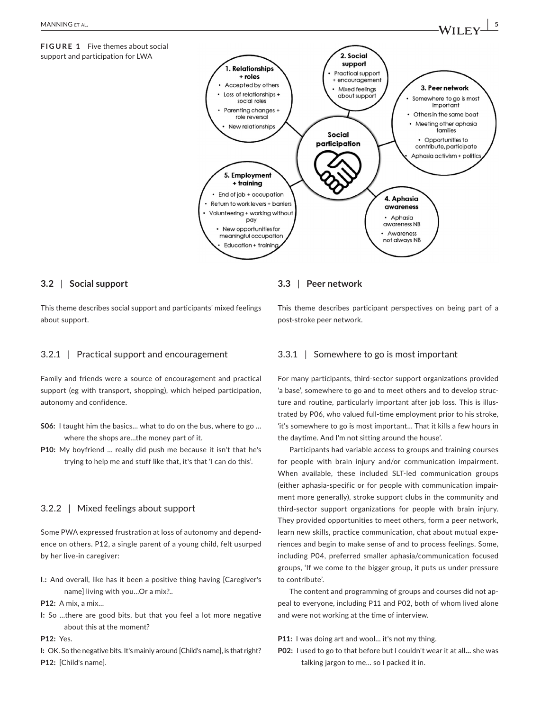

### **3.2** | **Social support**

This theme describes social support and participants' mixed feelings about support.

### 3.2.1 | Practical support and encouragement

Family and friends were a source of encouragement and practical support (eg with transport, shopping), which helped participation, autonomy and confidence.

- **S06:** I taught him the basics… what to do on the bus, where to go … where the shops are…the money part of it.
- **P10:** My boyfriend … really did push me because it isn't that he's trying to help me and stuff like that, it's that 'I can do this'.

### 3.2.2 | Mixed feelings about support

Some PWA expressed frustration at loss of autonomy and dependence on others. P12, a single parent of a young child, felt usurped by her live-in caregiver:

**I**.**:** And overall, like has it been a positive thing having [Caregiver's name] living with you…Or a mix?..

**P12:** A mix, a mix…

**I:** So …there are good bits, but that you feel a lot more negative about this at the moment?

**P12:** Yes.

**I:** OK. So the negative bits. It's mainly around [Child's name], is that right? **P12:** [Child's name].

### **3.3** | **Peer network**

This theme describes participant perspectives on being part of a post-stroke peer network.

### 3.3.1 | Somewhere to go is most important

For many participants, third-sector support organizations provided 'a base', somewhere to go and to meet others and to develop structure and routine, particularly important after job loss. This is illustrated by P06, who valued full-time employment prior to his stroke, 'it's somewhere to go is most important… That it kills a few hours in the daytime. And I'm not sitting around the house'.

Participants had variable access to groups and training courses for people with brain injury and/or communication impairment. When available, these included SLT-led communication groups (either aphasia-specific or for people with communication impairment more generally), stroke support clubs in the community and third-sector support organizations for people with brain injury. They provided opportunities to meet others, form a peer network, learn new skills, practice communication, chat about mutual experiences and begin to make sense of and to process feelings. Some, including P04, preferred smaller aphasia/communication focused groups, 'If we come to the bigger group, it puts us under pressure to contribute'.

The content and programming of groups and courses did not appeal to everyone, including P11 and P02, both of whom lived alone and were not working at the time of interview.

- **P11:** I was doing art and wool... it's not my thing.
- **P02:** I used to go to that before but I couldn't wear it at all**…** she was talking jargon to me… so I packed it in.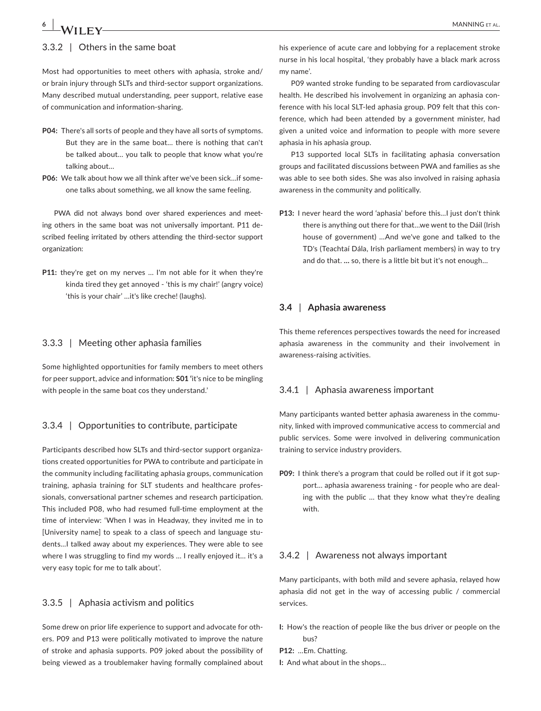## 3.3.2 | Others in the same boat

Most had opportunities to meet others with aphasia, stroke and/ or brain injury through SLTs and third-sector support organizations. Many described mutual understanding, peer support, relative ease of communication and information-sharing.

- **P04:** There's all sorts of people and they have all sorts of symptoms. But they are in the same boat… there is nothing that can't be talked about… you talk to people that know what you're talking about…
- **P06:** We talk about how we all think after we've been sick…if someone talks about something, we all know the same feeling.

PWA did not always bond over shared experiences and meeting others in the same boat was not universally important. P11 described feeling irritated by others attending the third-sector support organization:

**P11:** they're get on my nerves … I'm not able for it when they're kinda tired they get annoyed - 'this is my chair!' (angry voice) 'this is your chair' …it's like creche! (laughs).

### 3.3.3 | Meeting other aphasia families

Some highlighted opportunities for family members to meet others for peer support, advice and information: **S01 '**it's nice to be mingling with people in the same boat cos they understand.'

### 3.3.4 | Opportunities to contribute, participate

Participants described how SLTs and third-sector support organizations created opportunities for PWA to contribute and participate in the community including facilitating aphasia groups, communication training, aphasia training for SLT students and healthcare professionals, conversational partner schemes and research participation. This included P08, who had resumed full-time employment at the time of interview: 'When I was in Headway, they invited me in to [University name] to speak to a class of speech and language students…I talked away about my experiences. They were able to see where I was struggling to find my words … I really enjoyed it… it's a very easy topic for me to talk about'.

## 3.3.5 | Aphasia activism and politics

Some drew on prior life experience to support and advocate for others. P09 and P13 were politically motivated to improve the nature of stroke and aphasia supports. P09 joked about the possibility of being viewed as a troublemaker having formally complained about his experience of acute care and lobbying for a replacement stroke nurse in his local hospital, 'they probably have a black mark across my name'.

P09 wanted stroke funding to be separated from cardiovascular health. He described his involvement in organizing an aphasia conference with his local SLT-led aphasia group. P09 felt that this conference, which had been attended by a government minister, had given a united voice and information to people with more severe aphasia in his aphasia group.

P13 supported local SLTs in facilitating aphasia conversation groups and facilitated discussions between PWA and families as she was able to see both sides. She was also involved in raising aphasia awareness in the community and politically.

**P13:** I never heard the word 'aphasia' before this…I just don't think there is anything out there for that…we went to the Dáil (Irish house of government) …And we've gone and talked to the TD's (Teachtaí Dála, Irish parliament members) in way to try and do that. **…** so, there is a little bit but it's not enough…

### **3.4** | **Aphasia awareness**

This theme references perspectives towards the need for increased aphasia awareness in the community and their involvement in awareness-raising activities.

#### 3.4.1 | Aphasia awareness important

Many participants wanted better aphasia awareness in the community, linked with improved communicative access to commercial and public services. Some were involved in delivering communication training to service industry providers.

**P09:** I think there's a program that could be rolled out if it got support… aphasia awareness training - for people who are dealing with the public … that they know what they're dealing with.

### 3.4.2 | Awareness not always important

Many participants, with both mild and severe aphasia, relayed how aphasia did not get in the way of accessing public / commercial services.

- **I:** How's the reaction of people like the bus driver or people on the bus?
- **P12:** …Em. Chatting.
- **I:** And what about in the shops…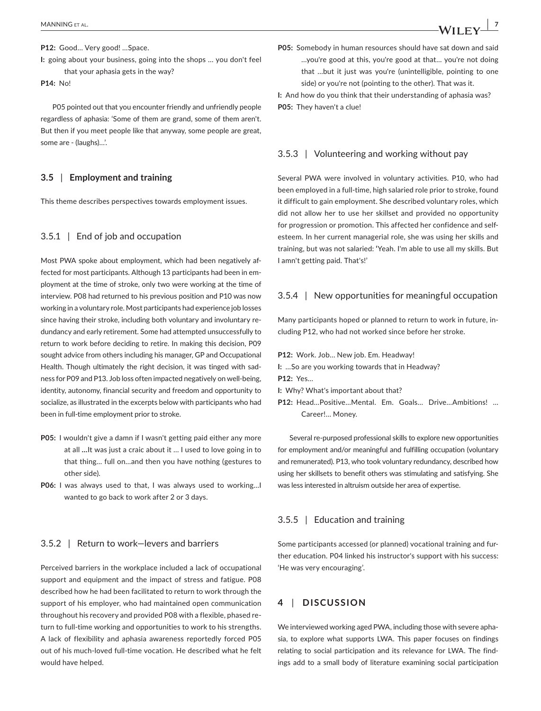**P12:** Good… Very good! …Space.

**I:** going about your business, going into the shops … you don't feel that your aphasia gets in the way?

**P14:** No!

P05 pointed out that you encounter friendly and unfriendly people regardless of aphasia: 'Some of them are grand, some of them aren't. But then if you meet people like that anyway, some people are great, some are - (laughs)…'.

### **3.5** | **Employment and training**

This theme describes perspectives towards employment issues.

### 3.5.1 | End of job and occupation

Most PWA spoke about employment, which had been negatively affected for most participants. Although 13 participants had been in employment at the time of stroke, only two were working at the time of interview. P08 had returned to his previous position and P10 was now working in a voluntary role. Most participants had experience job losses since having their stroke, including both voluntary and involuntary redundancy and early retirement. Some had attempted unsuccessfully to return to work before deciding to retire. In making this decision, P09 sought advice from others including his manager, GP and Occupational Health. Though ultimately the right decision, it was tinged with sadness for P09 and P13. Job loss often impacted negatively on well-being, identity, autonomy, financial security and freedom and opportunity to socialize, as illustrated in the excerpts below with participants who had been in full-time employment prior to stroke.

- **P05:** I wouldn't give a damn if I wasn't getting paid either any more at all **…**It was just a craic about it … I used to love going in to that thing… full on…and then you have nothing (gestures to other side).
- **P06:** I was always used to that, I was always used to working…I wanted to go back to work after 2 or 3 days.

### 3.5.2 | Return to work—levers and barriers

Perceived barriers in the workplace included a lack of occupational support and equipment and the impact of stress and fatigue. P08 described how he had been facilitated to return to work through the support of his employer, who had maintained open communication throughout his recovery and provided P08 with a flexible, phased return to full-time working and opportunities to work to his strengths. A lack of flexibility and aphasia awareness reportedly forced P05 out of his much-loved full-time vocation. He described what he felt would have helped.

**P05:** Somebody in human resources should have sat down and said …you're good at this, you're good at that… you're not doing that …but it just was you're (unintelligible, pointing to one side) or you're not (pointing to the other). That was it.

**I:** And how do you think that their understanding of aphasia was? **P05:** They haven't a clue!

### 3.5.3 | Volunteering and working without pay

Several PWA were involved in voluntary activities. P10, who had been employed in a full-time, high salaried role prior to stroke, found it difficult to gain employment. She described voluntary roles, which did not allow her to use her skillset and provided no opportunity for progression or promotion. This affected her confidence and selfesteem. In her current managerial role, she was using her skills and training, but was not salaried: **'**Yeah. I'm able to use all my skills. But I amn't getting paid. That's!'

### 3.5.4 | New opportunities for meaningful occupation

Many participants hoped or planned to return to work in future, including P12, who had not worked since before her stroke.

- **P12:** Work. Job… New job. Em. Headway!
- **I:** …So are you working towards that in Headway? **P12:** Yes…
- **I:** Why? What's important about that?
- **P12:** Head…Positive…Mental. Em. Goals… Drive…Ambitions! … Career!… Money.

Several re-purposed professional skills to explore new opportunities for employment and/or meaningful and fulfilling occupation (voluntary and remunerated). P13, who took voluntary redundancy, described how using her skillsets to benefit others was stimulating and satisfying. She was less interested in altruism outside her area of expertise.

### 3.5.5 | Education and training

Some participants accessed (or planned) vocational training and further education. P04 linked his instructor's support with his success: 'He was very encouraging'.

## **4** | **DISCUSSION**

We interviewed working aged PWA, including those with severe aphasia, to explore what supports LWA. This paper focuses on findings relating to social participation and its relevance for LWA. The findings add to a small body of literature examining social participation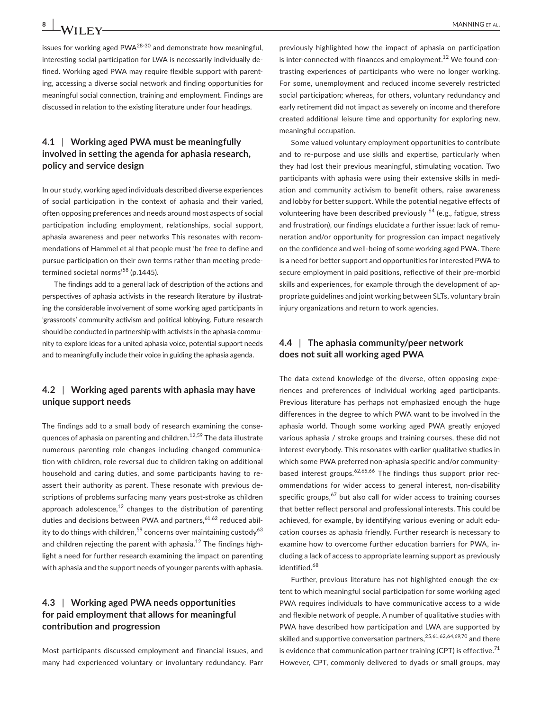issues for working aged  $PWA^{28-30}$  and demonstrate how meaningful. interesting social participation for LWA is necessarily individually defined. Working aged PWA may require flexible support with parenting, accessing a diverse social network and finding opportunities for meaningful social connection, training and employment. Findings are discussed in relation to the existing literature under four headings.

# **4.1** | **Working aged PWA must be meaningfully involved in setting the agenda for aphasia research, policy and service design**

In our study, working aged individuals described diverse experiences of social participation in the context of aphasia and their varied, often opposing preferences and needs around most aspects of social participation including employment, relationships, social support, aphasia awareness and peer networks This resonates with recommendations of Hammel et al that people must 'be free to define and pursue participation on their own terms rather than meeting predetermined societal norms<sup>'58</sup> (p.1445).

The findings add to a general lack of description of the actions and perspectives of aphasia activists in the research literature by illustrating the considerable involvement of some working aged participants in 'grassroots' community activism and political lobbying. Future research should be conducted in partnership with activists in the aphasia community to explore ideas for a united aphasia voice, potential support needs and to meaningfully include their voice in guiding the aphasia agenda.

### **4.2** | **Working aged parents with aphasia may have unique support needs**

The findings add to a small body of research examining the consequences of aphasia on parenting and children.12,59 The data illustrate numerous parenting role changes including changed communication with children, role reversal due to children taking on additional household and caring duties, and some participants having to reassert their authority as parent. These resonate with previous descriptions of problems surfacing many years post-stroke as children approach adolescence, $12$  changes to the distribution of parenting duties and decisions between PWA and partners,  $61,62$  reduced ability to do things with children,<sup>59</sup> concerns over maintaining custody<sup>63</sup> and children rejecting the parent with aphasia.<sup>12</sup> The findings highlight a need for further research examining the impact on parenting with aphasia and the support needs of younger parents with aphasia.

## **4.3** | **Working aged PWA needs opportunities for paid employment that allows for meaningful contribution and progression**

Most participants discussed employment and financial issues, and many had experienced voluntary or involuntary redundancy. Parr

previously highlighted how the impact of aphasia on participation is inter-connected with finances and employment.<sup>12</sup> We found contrasting experiences of participants who were no longer working. For some, unemployment and reduced income severely restricted social participation; whereas, for others, voluntary redundancy and early retirement did not impact as severely on income and therefore created additional leisure time and opportunity for exploring new, meaningful occupation.

Some valued voluntary employment opportunities to contribute and to re-purpose and use skills and expertise, particularly when they had lost their previous meaningful, stimulating vocation. Two participants with aphasia were using their extensive skills in mediation and community activism to benefit others, raise awareness and lobby for better support. While the potential negative effects of volunteering have been described previously <sup>64</sup> (e.g., fatigue, stress and frustration), our findings elucidate a further issue: lack of remuneration and/or opportunity for progression can impact negatively on the confidence and well-being of some working aged PWA. There is a need for better support and opportunities for interested PWA to secure employment in paid positions, reflective of their pre-morbid skills and experiences, for example through the development of appropriate guidelines and joint working between SLTs, voluntary brain injury organizations and return to work agencies.

### **4.4** | **The aphasia community/peer network does not suit all working aged PWA**

The data extend knowledge of the diverse, often opposing experiences and preferences of individual working aged participants. Previous literature has perhaps not emphasized enough the huge differences in the degree to which PWA want to be involved in the aphasia world. Though some working aged PWA greatly enjoyed various aphasia / stroke groups and training courses, these did not interest everybody. This resonates with earlier qualitative studies in which some PWA preferred non-aphasia specific and/or communitybased interest groups. $62,65,66$  The findings thus support prior recommendations for wider access to general interest, non-disability specific groups, $67$  but also call for wider access to training courses that better reflect personal and professional interests. This could be achieved, for example, by identifying various evening or adult education courses as aphasia friendly. Further research is necessary to examine how to overcome further education barriers for PWA, including a lack of access to appropriate learning support as previously identified.<sup>68</sup>

Further, previous literature has not highlighted enough the extent to which meaningful social participation for some working aged PWA requires individuals to have communicative access to a wide and flexible network of people. A number of qualitative studies with PWA have described how participation and LWA are supported by skilled and supportive conversation partners,<sup>25,61,62,64,69,70</sup> and there is evidence that communication partner training (CPT) is effective. $71$ However, CPT, commonly delivered to dyads or small groups, may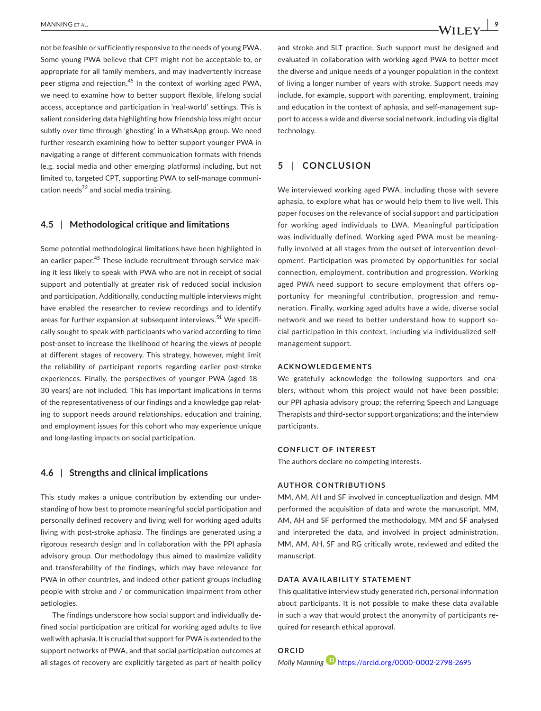not be feasible or sufficiently responsive to the needs of young PWA. Some young PWA believe that CPT might not be acceptable to, or appropriate for all family members, and may inadvertently increase peer stigma and rejection.<sup>45</sup> In the context of working aged PWA, we need to examine how to better support flexible, lifelong social access, acceptance and participation in 'real-world' settings. This is salient considering data highlighting how friendship loss might occur subtly over time through 'ghosting' in a WhatsApp group. We need further research examining how to better support younger PWA in navigating a range of different communication formats with friends (e.g. social media and other emerging platforms) including, but not limited to, targeted CPT, supporting PWA to self-manage communication needs $^{72}$  and social media training.

### **4.5** | **Methodological critique and limitations**

Some potential methodological limitations have been highlighted in an earlier paper.<sup>45</sup> These include recruitment through service making it less likely to speak with PWA who are not in receipt of social support and potentially at greater risk of reduced social inclusion and participation. Additionally, conducting multiple interviews might have enabled the researcher to review recordings and to identify areas for further expansion at subsequent interviews.<sup>51</sup> We specifically sought to speak with participants who varied according to time post-onset to increase the likelihood of hearing the views of people at different stages of recovery. This strategy, however, might limit the reliability of participant reports regarding earlier post-stroke experiences. Finally, the perspectives of younger PWA (aged 18– 30 years) are not included. This has important implications in terms of the representativeness of our findings and a knowledge gap relating to support needs around relationships, education and training, and employment issues for this cohort who may experience unique and long-lasting impacts on social participation.

### **4.6** | **Strengths and clinical implications**

This study makes a unique contribution by extending our understanding of how best to promote meaningful social participation and personally defined recovery and living well for working aged adults living with post-stroke aphasia. The findings are generated using a rigorous research design and in collaboration with the PPI aphasia advisory group. Our methodology thus aimed to maximize validity and transferability of the findings, which may have relevance for PWA in other countries, and indeed other patient groups including people with stroke and / or communication impairment from other aetiologies.

The findings underscore how social support and individually defined social participation are critical for working aged adults to live well with aphasia. It is crucial that support for PWA is extended to the support networks of PWA, and that social participation outcomes at all stages of recovery are explicitly targeted as part of health policy

### **5** | **CONCLUSION**

technology.

We interviewed working aged PWA, including those with severe aphasia, to explore what has or would help them to live well. This paper focuses on the relevance of social support and participation for working aged individuals to LWA. Meaningful participation was individually defined. Working aged PWA must be meaningfully involved at all stages from the outset of intervention development. Participation was promoted by opportunities for social connection, employment, contribution and progression. Working aged PWA need support to secure employment that offers opportunity for meaningful contribution, progression and remuneration. Finally, working aged adults have a wide, diverse social network and we need to better understand how to support social participation in this context, including via individualized selfmanagement support.

#### **ACKNOWLEDGEMENTS**

We gratefully acknowledge the following supporters and enablers, without whom this project would not have been possible: our PPI aphasia advisory group; the referring Speech and Language Therapists and third-sector support organizations; and the interview participants.

#### **CONFLICT OF INTEREST**

The authors declare no competing interests.

#### **AUTHOR CONTRIBUTIONS**

MM, AM, AH and SF involved in conceptualization and design. MM performed the acquisition of data and wrote the manuscript. MM, AM, AH and SF performed the methodology. MM and SF analysed and interpreted the data, and involved in project administration. MM, AM, AH, SF and RG critically wrote, reviewed and edited the manuscript.

### **DATA AVAILABILITY STATEMENT**

This qualitative interview study generated rich, personal information about participants. It is not possible to make these data available in such a way that would protect the anonymity of participants required for research ethical approval.

```
ORCID
Molly Manning https://orcid.org/0000-0002-2798-2695
```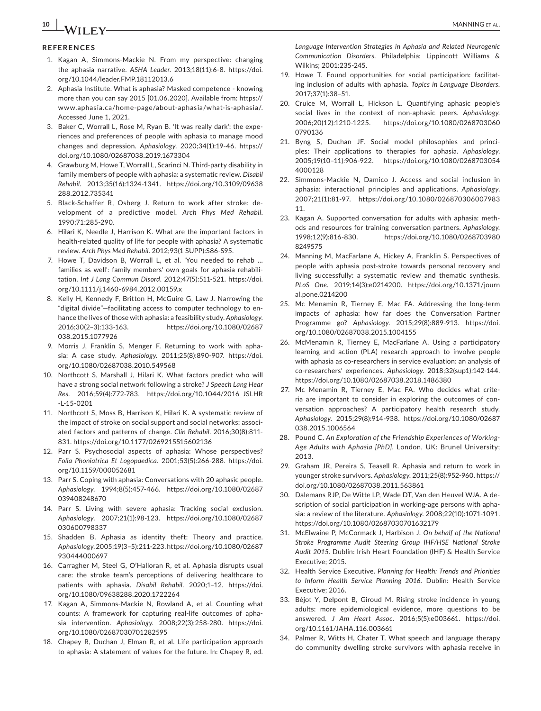# **10 b A***l***II C** *M* **MANNING** ET AL.

### **REFERENCES**

- 1. Kagan A, Simmons-Mackie N. From my perspective: changing the aphasia narrative. *ASHA Leader*. 2013;18(11):6-8. [https://doi.](https://doi.org/10.1044/leader.FMP.18112013.6) [org/10.1044/leader.FMP.18112013.6](https://doi.org/10.1044/leader.FMP.18112013.6)
- 2. Aphasia Institute. What is aphasia? Masked competence knowing more than you can say 2015 [01.06.2020]. Available from: [https://](https://www.aphasia.ca/home-page/about-aphasia/what-is-aphasia/) [www.aphasia.ca/home-page/about-aphasia/what-is-aphasia/.](https://www.aphasia.ca/home-page/about-aphasia/what-is-aphasia/) Accessed June 1, 2021.
- 3. Baker C, Worrall L, Rose M, Ryan B. 'It was really dark': the experiences and preferences of people with aphasia to manage mood changes and depression. *Aphasiology*. 2020;34(1):19-46. [https://](https://doi.org/10.1080/02687038.2019.1673304) [doi.org/10.1080/02687038.2019.1673304](https://doi.org/10.1080/02687038.2019.1673304)
- 4. Grawburg M, Howe T, Worrall L, Scarinci N. Third-party disability in family members of people with aphasia: a systematic review. *Disabil Rehabil*. 2013;35(16):1324-1341. [https://doi.org/10.3109/09638](https://doi.org/10.3109/09638288.2012.735341) [288.2012.735341](https://doi.org/10.3109/09638288.2012.735341)
- 5. Black-Schaffer R, Osberg J. Return to work after stroke: development of a predictive model. *Arch Phys Med Rehabil*. 1990;71:285-290.
- 6. Hilari K, Needle J, Harrison K. What are the important factors in health-related quality of life for people with aphasia? A systematic review. *Arch Phys Med Rehabil*. 2012;93(1 SUPP):S86-S95.
- 7. Howe T, Davidson B, Worrall L, et al. 'You needed to rehab … families as well': family members' own goals for aphasia rehabilitation. *Int J Lang Commun Disord*. 2012;47(5):511-521. [https://doi.](https://doi.org/10.1111/j.1460-6984.2012.00159.x) [org/10.1111/j.1460-6984.2012.00159.x](https://doi.org/10.1111/j.1460-6984.2012.00159.x)
- 8. Kelly H, Kennedy F, Britton H, McGuire G, Law J. Narrowing the "digital divide"—facilitating access to computer technology to enhance the lives of those with aphasia: a feasibility study. *Aphasiology*. 2016;30(2–3):133-163. [https://doi.org/10.1080/02687](https://doi.org/10.1080/02687038.2015.1077926) [038.2015.1077926](https://doi.org/10.1080/02687038.2015.1077926)
- 9. Morris J, Franklin S, Menger F. Returning to work with aphasia: A case study. *Aphasiology*. 2011;25(8):890-907. [https://doi.](https://doi.org/10.1080/02687038.2010.549568) [org/10.1080/02687038.2010.549568](https://doi.org/10.1080/02687038.2010.549568)
- 10. Northcott S, Marshall J, Hilari K. What factors predict who will have a strong social network following a stroke? *J Speech Lang Hear Res*. 2016;59(4):772-783. [https://doi.org/10.1044/2016\\_JSLHR](https://doi.org/10.1044/2016_JSLHR-L-15-0201)  $-1 - 15 - 0201$
- 11. Northcott S, Moss B, Harrison K, Hilari K. A systematic review of the impact of stroke on social support and social networks: associated factors and patterns of change. *Clin Rehabil*. 2016;30(8):811- 831. <https://doi.org/10.1177/0269215515602136>
- 12. Parr S. Psychosocial aspects of aphasia: Whose perspectives? *Folia Phoniatrica Et Logopaedica*. 2001;53(5):266-288. [https://doi.](https://doi.org/10.1159/000052681) [org/10.1159/000052681](https://doi.org/10.1159/000052681)
- 13. Parr S. Coping with aphasia: Conversations with 20 aphasic people. *Aphasiology*. 1994;8(5):457-466. [https://doi.org/10.1080/02687](https://doi.org/10.1080/02687039408248670) [039408248670](https://doi.org/10.1080/02687039408248670)
- 14. Parr S. Living with severe aphasia: Tracking social exclusion. *Aphasiology*. 2007;21(1):98-123. [https://doi.org/10.1080/02687](https://doi.org/10.1080/02687030600798337) [030600798337](https://doi.org/10.1080/02687030600798337)
- 15. Shadden B. Aphasia as identity theft: Theory and practice. *Aphasiology*. 2005;19(3–5):211-223. [https://doi.org/10.1080/02687](https://doi.org/10.1080/02687930444000697) [930444000697](https://doi.org/10.1080/02687930444000697)
- 16. Carragher M, Steel G, O'Halloran R, et al. Aphasia disrupts usual care: the stroke team's perceptions of delivering healthcare to patients with aphasia. *Disabil Rehabil*. 2020;1–12. [https://doi.](https://doi.org/10.1080/09638288.2020.1722264) [org/10.1080/09638288.2020.1722264](https://doi.org/10.1080/09638288.2020.1722264)
- 17. Kagan A, Simmons-Mackie N, Rowland A, et al. Counting what counts: A framework for capturing real-life outcomes of aphasia intervention. *Aphasiology*. 2008;22(3):258-280. [https://doi.](https://doi.org/10.1080/02687030701282595) [org/10.1080/02687030701282595](https://doi.org/10.1080/02687030701282595)
- 18. Chapey R, Duchan J, Elman R, et al. Life participation approach to aphasia: A statement of values for the future. In: Chapey R, ed.

*Language Intervention Strategies in Aphasia and Related Neurogenic Communication Disorders*. Philadelphia: Lippincott Williams & Wilkins; 2001:235-245.

- 19. Howe T. Found opportunities for social participation: facilitating inclusion of adults with aphasia. *Topics in Language Disorders*. 2017;37(1):38–51.
- 20. Cruice M, Worrall L, Hickson L. Quantifying aphasic people's social lives in the context of non-aphasic peers. *Aphasiology*. 2006;20(12):1210-1225. [https://doi.org/10.1080/0268703060](https://doi.org/10.1080/02687030600790136) [0790136](https://doi.org/10.1080/02687030600790136)
- 21. Byng S, Duchan JF. Social model philosophies and principles: Their applications to therapies for aphasia. *Aphasiology*. 2005;19(10–11):906-922. [https://doi.org/10.1080/0268703054](https://doi.org/10.1080/02687030544000128) [4000128](https://doi.org/10.1080/02687030544000128)
- 22. Simmons-Mackie N, Damico J. Access and social inclusion in aphasia: interactional principles and applications. *Aphasiology*. 2007;21(1):81-97. [https://doi.org/10.1080/026870306007983](https://doi.org/10.1080/02687030600798311.) [11.](https://doi.org/10.1080/02687030600798311.)
- 23. Kagan A. Supported conversation for adults with aphasia: methods and resources for training conversation partners. *Aphasiology*. 1998;12(9):816-830. [https://doi.org/10.1080/0268703980](https://doi.org/10.1080/02687039808249575) [8249575](https://doi.org/10.1080/02687039808249575)
- 24. Manning M, MacFarlane A, Hickey A, Franklin S. Perspectives of people with aphasia post-stroke towards personal recovery and living successfully: a systematic review and thematic synthesis. *PLoS One*. 2019;14(3):e0214200. [https://doi.org/10.1371/journ](https://doi.org/10.1371/journal.pone.0214200) [al.pone.0214200](https://doi.org/10.1371/journal.pone.0214200)
- 25. Mc Menamin R, Tierney E, Mac FA. Addressing the long-term impacts of aphasia: how far does the Conversation Partner Programme go? *Aphasiology*. 2015;29(8):889-913. [https://doi.](https://doi.org/10.1080/02687038.2015.1004155) [org/10.1080/02687038.2015.1004155](https://doi.org/10.1080/02687038.2015.1004155)
- 26. McMenamin R, Tierney E, MacFarlane A. Using a participatory learning and action (PLA) research approach to involve people with aphasia as co-researchers in service evaluation: an analysis of co-researchers' experiences. *Aphasiology*. 2018;32(sup1):142-144. <https://doi.org/10.1080/02687038.2018.1486380>
- 27. Mc Menamin R, Tierney E, Mac FA. Who decides what criteria are important to consider in exploring the outcomes of conversation approaches? A participatory health research study. *Aphasiology*. 2015;29(8):914-938. [https://doi.org/10.1080/02687](https://doi.org/10.1080/02687038.2015.1006564) [038.2015.1006564](https://doi.org/10.1080/02687038.2015.1006564)
- 28. Pound C. *An Exploration of the Friendship Experiences of Working-Age Adults with Aphasia [PhD]*. London, UK: Brunel University; 2013.
- 29. Graham JR, Pereira S, Teasell R. Aphasia and return to work in younger stroke survivors. *Aphasiology*. 2011;25(8):952-960. [https://](https://doi.org/10.1080/02687038.2011.563861) [doi.org/10.1080/02687038.2011.563861](https://doi.org/10.1080/02687038.2011.563861)
- 30. Dalemans RJP, De Witte LP, Wade DT, Van den Heuvel WJA. A description of social participation in working-age persons with aphasia: a review of the literature. *Aphasiology*. 2008;22(10):1071-1091. <https://doi.org/10.1080/02687030701632179>
- 31. McElwaine P, McCormack J, Harbison J. *On behalf of the National Stroke Programme Audit Steering Group IHF/HSE National Stroke Audit 2015*. Dublin: Irish Heart Foundation (IHF) & Health Service Executive; 2015.
- 32. Health Service Executive. *Planning for Health: Trends and Priorities to Inform Health Service Planning 2016*. Dublin: Health Service Executive; 2016.
- 33. Béjot Y, Delpont B, Giroud M. Rising stroke incidence in young adults: more epidemiological evidence, more questions to be answered. *J Am Heart Assoc*. 2016;5(5):e003661. [https://doi.](https://doi.org/10.1161/JAHA.116.003661) [org/10.1161/JAHA.116.003661](https://doi.org/10.1161/JAHA.116.003661)
- 34. Palmer R, Witts H, Chater T. What speech and language therapy do community dwelling stroke survivors with aphasia receive in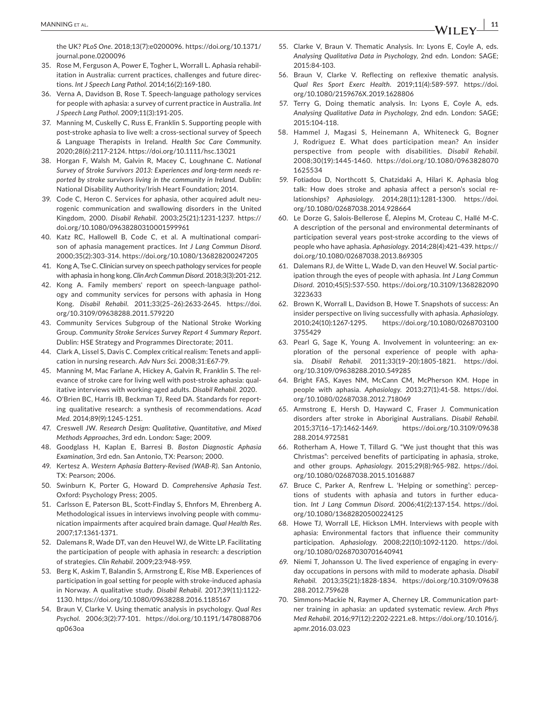the UK? *PLoS One*. 2018;13(7):e0200096. [https://doi.org/10.1371/](https://doi.org/10.1371/journal.pone.0200096) [journal.pone.0200096](https://doi.org/10.1371/journal.pone.0200096)

- 35. Rose M, Ferguson A, Power E, Togher L, Worrall L. Aphasia rehabilitation in Australia: current practices, challenges and future directions. *Int J Speech Lang Pathol*. 2014;16(2):169-180.
- 36. Verna A, Davidson B, Rose T. Speech-language pathology services for people with aphasia: a survey of current practice in Australia. *Int J Speech Lang Pathol*. 2009;11(3):191-205.
- 37. Manning M, Cuskelly C, Russ E, Franklin S. Supporting people with post-stroke aphasia to live well: a cross-sectional survey of Speech & Language Therapists in Ireland. *Health Soc Care Community*. 2020;28(6):2117-2124. <https://doi.org/10.1111/hsc.13021>
- 38. Horgan F, Walsh M, Galvin R, Macey C, Loughnane C. *National Survey of Stroke Survivors 2013: Experiences and long-term needs reported by stroke survivors living in the community in Ireland*. Dublin: National Disability Authority/Irish Heart Foundation; 2014.
- 39. Code C, Heron C. Services for aphasia, other acquired adult neurogenic communication and swallowing disorders in the United Kingdom, 2000. *Disabil Rehabil*. 2003;25(21):1231-1237. [https://](https://doi.org/10.1080/09638280310001599961) [doi.org/10.1080/09638280310001599961](https://doi.org/10.1080/09638280310001599961)
- 40. Katz RC, Hallowell B, Code C, et al. A multinational comparison of aphasia management practices. *Int J Lang Commun Disord*. 2000;35(2):303-314. <https://doi.org/10.1080/136828200247205>
- 41. Kong A, Tse C. Clinician survey on speech pathology services for people with aphasia in hong kong. *Clin Arch Commun Disord*. 2018;3(3):201-212.
- 42. Kong A. Family members' report on speech-language pathology and community services for persons with aphasia in Hong Kong. *Disabil Rehabil*. 2011;33(25–26):2633-2645. [https://doi.](https://doi.org/10.3109/09638288.2011.579220) [org/10.3109/09638288.2011.579220](https://doi.org/10.3109/09638288.2011.579220)
- 43. Community Services Subgroup of the National Stroke Working Group. *Community Stroke Services Survey Report 4 Summary Report*. Dublin: HSE Strategy and Programmes Directorate; 2011.
- 44. Clark A, Lissel S, Davis C. Complex critical realism: Tenets and application in nursing research. *Adv Nurs Sci*. 2008;31:E67-79.
- 45. Manning M, Mac Farlane A, Hickey A, Galvin R, Franklin S. The relevance of stroke care for living well with post-stroke aphasia: qualitative interviews with working-aged adults. *Disabil Rehabil*. 2020.
- 46. O'Brien BC, Harris IB, Beckman TJ, Reed DA. Standards for reporting qualitative research: a synthesis of recommendations. *Acad Med*. 2014;89(9):1245-1251.
- 47. Creswell JW. *Research Design: Qualitative, Quantitative, and Mixed Methods Approaches*, 3rd edn. London: Sage; 2009.
- 48. Goodglass H, Kaplan E, Barresi B. *Boston Diagnostic Aphasia Examination*, 3rd edn. San Antonio, TX: Pearson; 2000.
- 49. Kertesz A. *Western Aphasia Battery-Revised (WAB-R)*. San Antonio, TX: Pearson; 2006.
- 50. Swinburn K, Porter G, Howard D. *Comprehensive Aphasia Test*. Oxford: Psychology Press; 2005.
- 51. Carlsson E, Paterson BL, Scott-Findlay S, Ehnfors M, Ehrenberg A. Methodological issues in interviews involving people with communication impairments after acquired brain damage. *Qual Health Res*. 2007;17:1361-1371.
- 52. Dalemans R, Wade DT, van den Heuvel WJ, de Witte LP. Facilitating the participation of people with aphasia in research: a description of strategies. *Clin Rehabil*. 2009;23:948-959.
- 53. Berg K, Askim T, Balandin S, Armstrong E, Rise MB. Experiences of participation in goal setting for people with stroke-induced aphasia in Norway. A qualitative study. *Disabil Rehabil*. 2017;39(11):1122- 1130.<https://doi.org/10.1080/09638288.2016.1185167>
- 54. Braun V, Clarke V. Using thematic analysis in psychology. *Qual Res Psychol*. 2006;3(2):77-101. [https://doi.org/10.1191/1478088706](https://doi.org/10.1191/1478088706qp063oa) [qp063oa](https://doi.org/10.1191/1478088706qp063oa)
- 55. Clarke V, Braun V. Thematic Analysis. In: Lyons E, Coyle A, eds. *Analysing Qualitativa Data in Psychology*, 2nd edn. London: SAGE; 2015:84-103.
- 56. Braun V, Clarke V. Reflecting on reflexive thematic analysis. *Qual Res Sport Exerc Health*. 2019;11(4):589-597. [https://doi.](https://doi.org/10.1080/2159676X.2019.1628806) [org/10.1080/2159676X.2019.1628806](https://doi.org/10.1080/2159676X.2019.1628806)
- 57. Terry G, Doing thematic analysis. In: Lyons E, Coyle A, eds. *Analysing Qualitative Data in Psychology*, 2nd edn. London: SAGE; 2015:104-118.
- 58. Hammel J, Magasi S, Heinemann A, Whiteneck G, Bogner J, Rodriguez E. What does participation mean? An insider perspective from people with disabilities. *Disabil Rehabil*. 2008;30(19):1445-1460. [https://doi.org/10.1080/0963828070](https://doi.org/10.1080/09638280701625534) [1625534](https://doi.org/10.1080/09638280701625534)
- 59. Fotiadou D, Northcott S, Chatzidaki A, Hilari K. Aphasia blog talk: How does stroke and aphasia affect a person's social relationships? *Aphasiology*. 2014;28(11):1281-1300. [https://doi.](https://doi.org/10.1080/02687038.2014.928664) [org/10.1080/02687038.2014.928664](https://doi.org/10.1080/02687038.2014.928664)
- 60. Le Dorze G, Salois-Bellerose É, Alepins M, Croteau C, Hallé M-C. A description of the personal and environmental determinants of participation several years post-stroke according to the views of people who have aphasia. *Aphasiology*. 2014;28(4):421-439. [https://](https://doi.org/10.1080/02687038.2013.869305) [doi.org/10.1080/02687038.2013.869305](https://doi.org/10.1080/02687038.2013.869305)
- 61. Dalemans RJ, de Witte L, Wade D, van den Heuvel W. Social participation through the eyes of people with aphasia. *Int J Lang Commun Disord*. 2010;45(5):537-550. [https://doi.org/10.3109/1368282090](https://doi.org/10.3109/13682820903223633) [3223633](https://doi.org/10.3109/13682820903223633)
- 62. Brown K, Worrall L, Davidson B, Howe T. Snapshots of success: An insider perspective on living successfully with aphasia. *Aphasiology*. 2010;24(10):1267-1295. [https://doi.org/10.1080/0268703100](https://doi.org/10.1080/02687031003755429) [3755429](https://doi.org/10.1080/02687031003755429)
- 63. Pearl G, Sage K, Young A. Involvement in volunteering: an exploration of the personal experience of people with aphasia. *Disabil Rehabil*. 2011;33(19–20):1805-1821. [https://doi.](https://doi.org/10.3109/09638288.2010.549285) [org/10.3109/09638288.2010.549285](https://doi.org/10.3109/09638288.2010.549285)
- 64. Bright FAS, Kayes NM, McCann CM, McPherson KM. Hope in people with aphasia. *Aphasiology*. 2013;27(1):41-58. [https://doi.](https://doi.org/10.1080/02687038.2012.718069) [org/10.1080/02687038.2012.718069](https://doi.org/10.1080/02687038.2012.718069)
- 65. Armstrong E, Hersh D, Hayward C, Fraser J. Communication disorders after stroke in Aboriginal Australians. *Disabil Rehabil*. 2015;37(16–17):1462-1469. [https://doi.org/10.3109/09638](https://doi.org/10.3109/09638288.2014.972581) [288.2014.972581](https://doi.org/10.3109/09638288.2014.972581)
- 66. Rotherham A, Howe T, Tillard G. "We just thought that this was Christmas": perceived benefits of participating in aphasia, stroke, and other groups. *Aphasiology*. 2015;29(8):965-982. [https://doi.](https://doi.org/10.1080/02687038.2015.1016887) [org/10.1080/02687038.2015.1016887](https://doi.org/10.1080/02687038.2015.1016887)
- 67. Bruce C, Parker A, Renfrew L. 'Helping or something': perceptions of students with aphasia and tutors in further education. *Int J Lang Commun Disord*. 2006;41(2):137-154. [https://doi.](https://doi.org/10.1080/13682820500224125) [org/10.1080/13682820500224125](https://doi.org/10.1080/13682820500224125)
- 68. Howe TJ, Worrall LE, Hickson LMH. Interviews with people with aphasia: Environmental factors that influence their community participation. *Aphasiology*. 2008;22(10):1092-1120. [https://doi.](https://doi.org/10.1080/02687030701640941) [org/10.1080/02687030701640941](https://doi.org/10.1080/02687030701640941)
- 69. Niemi T, Johansson U. The lived experience of engaging in everyday occupations in persons with mild to moderate aphasia. *Disabil Rehabil*. 2013;35(21):1828-1834. [https://doi.org/10.3109/09638](https://doi.org/10.3109/09638288.2012.759628) [288.2012.759628](https://doi.org/10.3109/09638288.2012.759628)
- 70. Simmons-Mackie N, Raymer A, Cherney LR. Communication partner training in aphasia: an updated systematic review. *Arch Phys Med Rehabil*. 2016;97(12):2202-2221.e8. [https://doi.org/10.1016/j.](https://doi.org/10.1016/j.apmr.2016.03.023) [apmr.2016.03.023](https://doi.org/10.1016/j.apmr.2016.03.023)